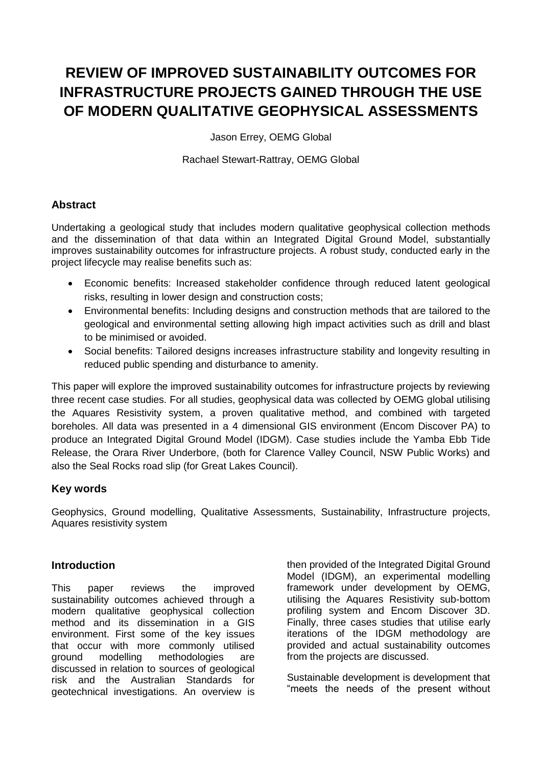# **REVIEW OF IMPROVED SUSTAINABILITY OUTCOMES FOR INFRASTRUCTURE PROJECTS GAINED THROUGH THE USE OF MODERN QUALITATIVE GEOPHYSICAL ASSESSMENTS**

Jason Errey, OEMG Global

Rachael Stewart-Rattray, OEMG Global

## **Abstract**

Undertaking a geological study that includes modern qualitative geophysical collection methods and the dissemination of that data within an Integrated Digital Ground Model, substantially improves sustainability outcomes for infrastructure projects. A robust study, conducted early in the project lifecycle may realise benefits such as:

- Economic benefits: Increased stakeholder confidence through reduced latent geological risks, resulting in lower design and construction costs;
- Environmental benefits: Including designs and construction methods that are tailored to the geological and environmental setting allowing high impact activities such as drill and blast to be minimised or avoided.
- Social benefits: Tailored designs increases infrastructure stability and longevity resulting in reduced public spending and disturbance to amenity.

This paper will explore the improved sustainability outcomes for infrastructure projects by reviewing three recent case studies. For all studies, geophysical data was collected by OEMG global utilising the Aquares Resistivity system, a proven qualitative method, and combined with targeted boreholes. All data was presented in a 4 dimensional GIS environment (Encom Discover PA) to produce an Integrated Digital Ground Model (IDGM). Case studies include the Yamba Ebb Tide Release, the Orara River Underbore, (both for Clarence Valley Council, NSW Public Works) and also the Seal Rocks road slip (for Great Lakes Council).

# **Key words**

Geophysics, Ground modelling, Qualitative Assessments, Sustainability, Infrastructure projects, Aquares resistivity system

#### **Introduction**

This paper reviews the improved sustainability outcomes achieved through a modern qualitative geophysical collection method and its dissemination in a GIS environment. First some of the key issues that occur with more commonly utilised ground modelling methodologies are discussed in relation to sources of geological risk and the Australian Standards for geotechnical investigations. An overview is

then provided of the Integrated Digital Ground Model (IDGM), an experimental modelling framework under development by OEMG, utilising the Aquares Resistivity sub-bottom profiling system and Encom Discover 3D. Finally, three cases studies that utilise early iterations of the IDGM methodology are provided and actual sustainability outcomes from the projects are discussed.

Sustainable development is development that "meets the needs of the present without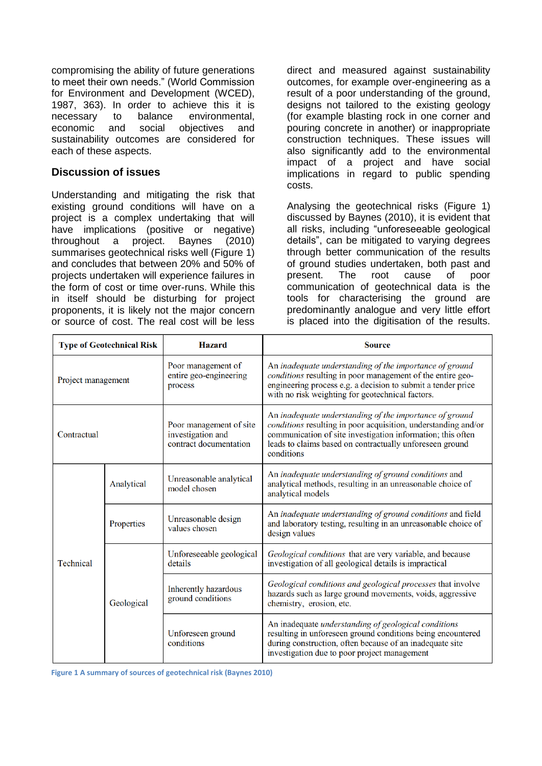compromising the ability of future generations to meet their own needs." (World Commission for Environment and Development (WCED), 1987, 363). In order to achieve this it is necessary to balance environmental, economic and social objectives and sustainability outcomes are considered for each of these aspects.

# **Discussion of issues**

Understanding and mitigating the risk that existing ground conditions will have on a project is a complex undertaking that will have implications (positive or negative) throughout a project. Baynes (2010) summarises geotechnical risks well [\(Figure 1\)](#page-1-0) and concludes that between 20% and 50% of projects undertaken will experience failures in the form of cost or time over-runs. While this in itself should be disturbing for project proponents, it is likely not the major concern or source of cost. The real cost will be less direct and measured against sustainability outcomes, for example over-engineering as a result of a poor understanding of the ground, designs not tailored to the existing geology (for example blasting rock in one corner and pouring concrete in another) or inappropriate construction techniques. These issues will also significantly add to the environmental impact of a project and have social implications in regard to public spending costs.

Analysing the geotechnical risks [\(Figure 1\)](#page-1-0) discussed by Baynes (2010), it is evident that all risks, including "unforeseeable geological details", can be mitigated to varying degrees through better communication of the results of ground studies undertaken, both past and present. The root cause of poor communication of geotechnical data is the tools for characterising the ground are predominantly analogue and very little effort is placed into the digitisation of the results.

<span id="page-1-0"></span>

| <b>Type of Geotechnical Risk</b> |            | <b>Hazard</b>                                                          | <b>Source</b>                                                                                                                                                                                                                                                      |
|----------------------------------|------------|------------------------------------------------------------------------|--------------------------------------------------------------------------------------------------------------------------------------------------------------------------------------------------------------------------------------------------------------------|
| Project management               |            | Poor management of<br>entire geo-engineering<br>process                | An inadequate understanding of the importance of ground<br>conditions resulting in poor management of the entire geo-<br>engineering process e.g. a decision to submit a tender price<br>with no risk weighting for geotechnical factors.                          |
| Contractual                      |            | Poor management of site<br>investigation and<br>contract documentation | An inadequate understanding of the importance of ground<br>conditions resulting in poor acquisition, understanding and/or<br>communication of site investigation information; this often<br>leads to claims based on contractually unforeseen ground<br>conditions |
| <b>Technical</b>                 | Analytical | Unreasonable analytical<br>model chosen                                | An inadequate understanding of ground conditions and<br>analytical methods, resulting in an unreasonable choice of<br>analytical models                                                                                                                            |
|                                  | Properties | Unreasonable design<br>values chosen                                   | An inadequate understanding of ground conditions and field<br>and laboratory testing, resulting in an unreasonable choice of<br>design values                                                                                                                      |
|                                  | Geological | Unforeseeable geological<br>details                                    | Geological conditions that are very variable, and because<br>investigation of all geological details is impractical                                                                                                                                                |
|                                  |            | <b>Inherently hazardous</b><br>ground conditions                       | Geological conditions and geological processes that involve<br>hazards such as large ground movements, voids, aggressive<br>chemistry, erosion, etc.                                                                                                               |
|                                  |            | Unforeseen ground<br>conditions                                        | An inadequate understanding of geological conditions<br>resulting in unforeseen ground conditions being encountered<br>during construction, often because of an inadequate site<br>investigation due to poor project management                                    |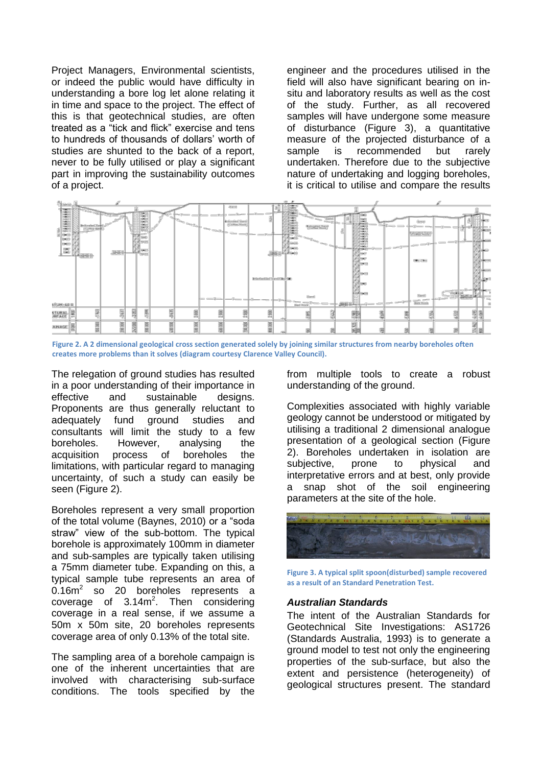Project Managers, Environmental scientists, or indeed the public would have difficulty in understanding a bore log let alone relating it in time and space to the project. The effect of this is that geotechnical studies, are often treated as a "tick and flick" exercise and tens to hundreds of thousands of dollars' worth of studies are shunted to the back of a report, never to be fully utilised or play a significant part in improving the sustainability outcomes of a project.

engineer and the procedures utilised in the field will also have significant bearing on insitu and laboratory results as well as the cost of the study. Further, as all recovered samples will have undergone some measure of disturbance [\(Figure 3\)](#page-2-1), a quantitative measure of the projected disturbance of a sample is recommended but rarely undertaken. Therefore due to the subjective nature of undertaking and logging boreholes, it is critical to utilise and compare the results



<span id="page-2-0"></span>**Figure 2. A 2 dimensional geological cross section generated solely by joining similar structures from nearby boreholes often creates more problems than it solves (diagram courtesy Clarence Valley Council).**

The relegation of ground studies has resulted in a poor understanding of their importance in effective and sustainable designs. Proponents are thus generally reluctant to adequately fund ground studies and consultants will limit the study to a few boreholes. However, analysing the acquisition process of boreholes the limitations, with particular regard to managing uncertainty, of such a study can easily be seen [\(Figure 2\)](#page-2-0).

Boreholes represent a very small proportion of the total volume (Baynes, 2010) or a "soda straw" view of the sub-bottom. The typical borehole is approximately 100mm in diameter and sub-samples are typically taken utilising a 75mm diameter tube. Expanding on this, a typical sample tube represents an area of  $0.16m^2$ so 20 boreholes represents a coverage of  $3.14m^2$ . Then considering coverage in a real sense, if we assume a 50m x 50m site, 20 boreholes represents coverage area of only 0.13% of the total site.

The sampling area of a borehole campaign is one of the inherent uncertainties that are involved with characterising sub-surface conditions. The tools specified by the

from multiple tools to create a robust understanding of the ground.

Complexities associated with highly variable geology cannot be understood or mitigated by utilising a traditional 2 dimensional analogue presentation of a geological section [\(Figure](#page-2-0)  [2\)](#page-2-0). Boreholes undertaken in isolation are subjective, prone to physical and interpretative errors and at best, only provide a snap shot of the soil engineering parameters at the site of the hole.



<span id="page-2-1"></span>**Figure 3. A typical split spoon(disturbed) sample recovered as a result of an Standard Penetration Test.**

#### *Australian Standards*

The intent of the Australian Standards for Geotechnical Site Investigations: AS1726 (Standards Australia, 1993) is to generate a ground model to test not only the engineering properties of the sub-surface, but also the extent and persistence (heterogeneity) of geological structures present. The standard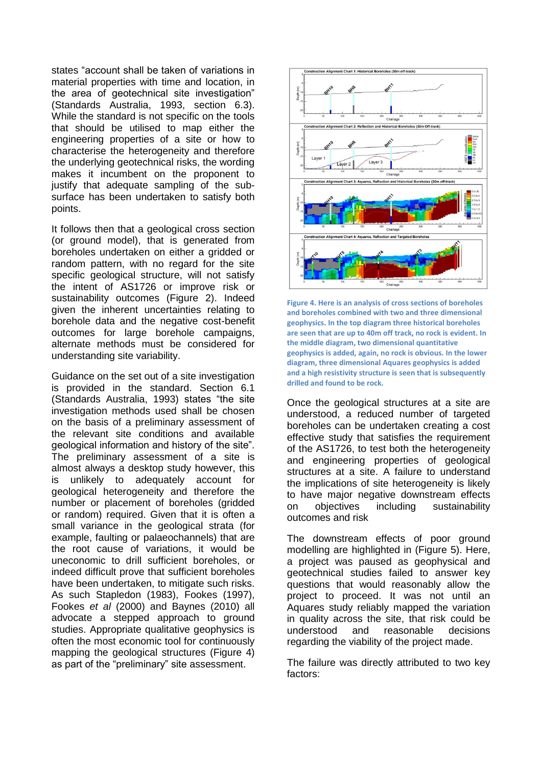states "account shall be taken of variations in material properties with time and location, in the area of geotechnical site investigation" (Standards Australia, 1993, section 6.3). While the standard is not specific on the tools that should be utilised to map either the engineering properties of a site or how to characterise the heterogeneity and therefore the underlying geotechnical risks, the wording makes it incumbent on the proponent to justify that adequate sampling of the subsurface has been undertaken to satisfy both points.

It follows then that a geological cross section (or ground model), that is generated from boreholes undertaken on either a gridded or random pattern, with no regard for the site specific geological structure, will not satisfy the intent of AS1726 or improve risk or sustainability outcomes [\(Figure 2\)](#page-2-0). Indeed given the inherent uncertainties relating to borehole data and the negative cost-benefit outcomes for large borehole campaigns, alternate methods must be considered for understanding site variability.

Guidance on the set out of a site investigation is provided in the standard. Section 6.1 (Standards Australia, 1993) states "the site investigation methods used shall be chosen on the basis of a preliminary assessment of the relevant site conditions and available geological information and history of the site". The preliminary assessment of a site is almost always a desktop study however, this is unlikely to adequately account for geological heterogeneity and therefore the number or placement of boreholes (gridded or random) required. Given that it is often a small variance in the geological strata (for example, faulting or palaeochannels) that are the root cause of variations, it would be uneconomic to drill sufficient boreholes, or indeed difficult prove that sufficient boreholes have been undertaken, to mitigate such risks. As such Stapledon (1983), Fookes (1997), Fookes *et al* (2000) and Baynes (2010) all advocate a stepped approach to ground studies. Appropriate qualitative geophysics is often the most economic tool for continuously mapping the geological structures [\(Figure 4\)](#page-3-0) as part of the "preliminary" site assessment.



<span id="page-3-0"></span>**Figure 4. Here is an analysis of cross sections of boreholes and boreholes combined with two and three dimensional geophysics. In the top diagram three historical boreholes are seen that are up to 40m off track, no rock is evident. In the middle diagram, two dimensional quantitative geophysics is added, again, no rock is obvious. In the lower diagram, three dimensional Aquares geophysics is added and a high resistivity structure is seen that is subsequently drilled and found to be rock.**

Once the geological structures at a site are understood, a reduced number of targeted boreholes can be undertaken creating a cost effective study that satisfies the requirement of the AS1726, to test both the heterogeneity and engineering properties of geological structures at a site. A failure to understand the implications of site heterogeneity is likely to have major negative downstream effects on objectives including sustainability outcomes and risk

The downstream effects of poor ground modelling are highlighted in [\(Figure 5\)](#page-4-0). Here, a project was paused as geophysical and geotechnical studies failed to answer key questions that would reasonably allow the project to proceed. It was not until an Aquares study reliably mapped the variation in quality across the site, that risk could be understood and reasonable decisions regarding the viability of the project made.

The failure was directly attributed to two key factors: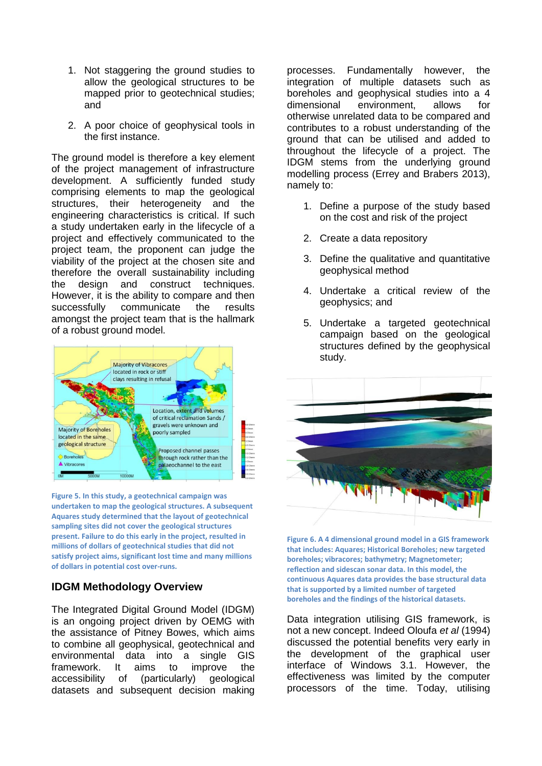- 1. Not staggering the ground studies to allow the geological structures to be mapped prior to geotechnical studies; and
- 2. A poor choice of geophysical tools in the first instance.

The ground model is therefore a key element of the project management of infrastructure development. A sufficiently funded study comprising elements to map the geological structures, their heterogeneity and the engineering characteristics is critical. If such a study undertaken early in the lifecycle of a project and effectively communicated to the project team, the proponent can judge the viability of the project at the chosen site and therefore the overall sustainability including the design and construct techniques. However, it is the ability to compare and then successfully communicate the results amongst the project team that is the hallmark of a robust ground model.



<span id="page-4-0"></span>**Figure 5. In this study, a geotechnical campaign was undertaken to map the geological structures. A subsequent Aquares study determined that the layout of geotechnical sampling sites did not cover the geological structures present. Failure to do this early in the project, resulted in millions of dollars of geotechnical studies that did not satisfy project aims, significant lost time and many millions of dollars in potential cost over-runs.**

# **IDGM Methodology Overview**

The Integrated Digital Ground Model (IDGM) is an ongoing project driven by OEMG with the assistance of Pitney Bowes, which aims to combine all geophysical, geotechnical and environmental data into a single GIS framework. It aims to improve the accessibility of (particularly) geological datasets and subsequent decision making processes. Fundamentally however, the integration of multiple datasets such as boreholes and geophysical studies into a 4 dimensional environment, allows for otherwise unrelated data to be compared and contributes to a robust understanding of the ground that can be utilised and added to throughout the lifecycle of a project. The IDGM stems from the underlying ground modelling process (Errey and Brabers 2013), namely to:

- 1. Define a purpose of the study based on the cost and risk of the project
- 2. Create a data repository
- 3. Define the qualitative and quantitative geophysical method
- 4. Undertake a critical review of the geophysics; and
- 5. Undertake a targeted geotechnical campaign based on the geological structures defined by the geophysical study.



<span id="page-4-1"></span>**Figure 6. A 4 dimensional ground model in a GIS framework that includes: Aquares; Historical Boreholes; new targeted boreholes; vibracores; bathymetry; Magnetometer; reflection and sidescan sonar data. In this model, the continuous Aquares data provides the base structural data that is supported by a limited number of targeted boreholes and the findings of the historical datasets.**

Data integration utilising GIS framework, is not a new concept. Indeed Oloufa *et al* (1994) discussed the potential benefits very early in the development of the graphical user interface of Windows 3.1. However, the effectiveness was limited by the computer processors of the time. Today, utilising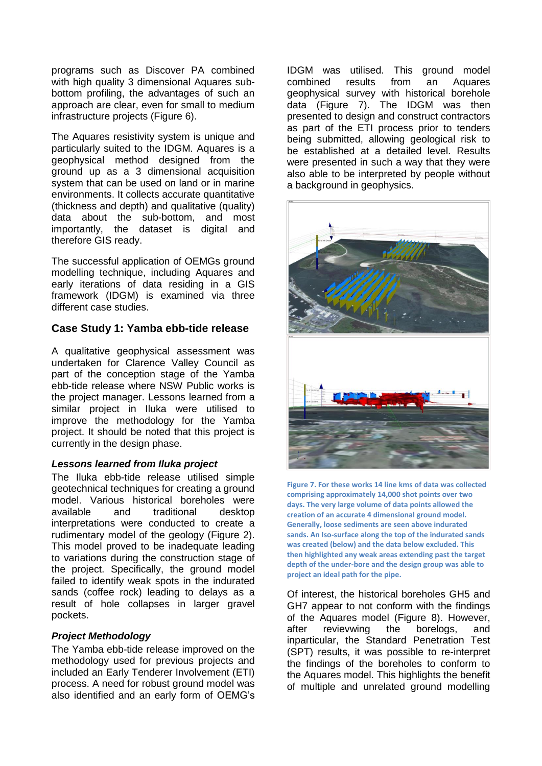programs such as Discover PA combined with high quality 3 dimensional Aquares subbottom profiling, the advantages of such an approach are clear, even for small to medium infrastructure projects [\(Figure 6\)](#page-4-1).

The Aquares resistivity system is unique and particularly suited to the IDGM. Aquares is a geophysical method designed from the ground up as a 3 dimensional acquisition system that can be used on land or in marine environments. It collects accurate quantitative (thickness and depth) and qualitative (quality) data about the sub-bottom, and most importantly, the dataset is digital and therefore GIS ready.

The successful application of OEMGs ground modelling technique, including Aquares and early iterations of data residing in a GIS framework (IDGM) is examined via three different case studies.

#### **Case Study 1: Yamba ebb-tide release**

A qualitative geophysical assessment was undertaken for Clarence Valley Council as part of the conception stage of the Yamba ebb-tide release where NSW Public works is the project manager. Lessons learned from a similar project in Iluka were utilised to improve the methodology for the Yamba project. It should be noted that this project is currently in the design phase.

#### *Lessons learned from Iluka project*

The Iluka ebb-tide release utilised simple geotechnical techniques for creating a ground model. Various historical boreholes were available and traditional desktop interpretations were conducted to create a rudimentary model of the geology [\(Figure 2\)](#page-2-0). This model proved to be inadequate leading to variations during the construction stage of the project. Specifically, the ground model failed to identify weak spots in the indurated sands (coffee rock) leading to delays as a result of hole collapses in larger gravel pockets.

#### *Project Methodology*

The Yamba ebb-tide release improved on the methodology used for previous projects and included an Early Tenderer Involvement (ETI) process. A need for robust ground model was also identified and an early form of OEMG's

IDGM was utilised. This ground model combined results from an Aquares geophysical survey with historical borehole data [\(Figure 7\)](#page-5-0). The IDGM was then presented to design and construct contractors as part of the ETI process prior to tenders being submitted, allowing geological risk to be established at a detailed level. Results were presented in such a way that they were also able to be interpreted by people without a background in geophysics.



<span id="page-5-0"></span>**Figure 7. For these works 14 line kms of data was collected comprising approximately 14,000 shot points over two days. The very large volume of data points allowed the creation of an accurate 4 dimensional ground model. Generally, loose sediments are seen above indurated sands. An Iso-surface along the top of the indurated sands was created (below) and the data below excluded. This then highlighted any weak areas extending past the target depth of the under-bore and the design group was able to project an ideal path for the pipe.**

Of interest, the historical boreholes GH5 and GH7 appear to not conform with the findings of the Aquares model [\(Figure 8\)](#page-6-0). However, after revievwing the borelogs, and inparticular, the Standard Penetration Test (SPT) results, it was possible to re-interpret the findings of the boreholes to conform to the Aquares model. This highlights the benefit of multiple and unrelated ground modelling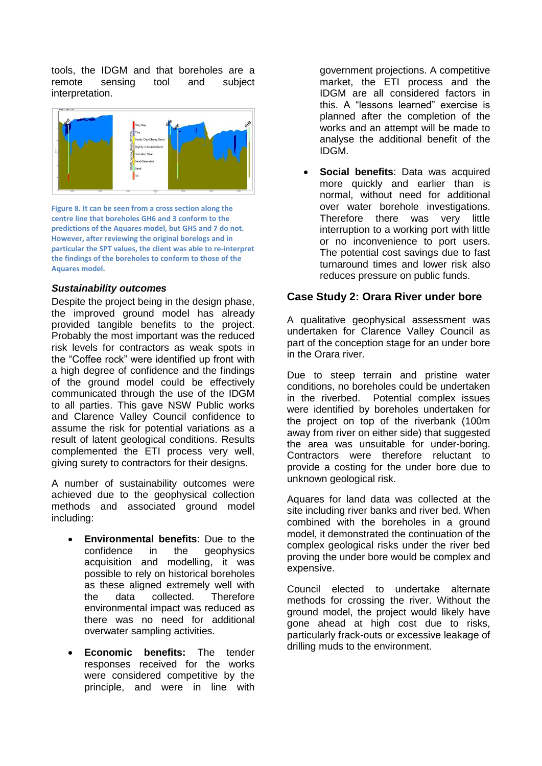tools, the IDGM and that boreholes are a remote sensing tool and subject interpretation.



<span id="page-6-0"></span>**Figure 8. It can be seen from a cross section along the centre line that boreholes GH6 and 3 conform to the predictions of the Aquares model, but GH5 and 7 do not. However, after reviewing the original borelogs and in particular the SPT values, the client was able to re-interpret the findings of the boreholes to conform to those of the Aquares model.**

#### *Sustainability outcomes*

Despite the project being in the design phase. the improved ground model has already provided tangible benefits to the project. Probably the most important was the reduced risk levels for contractors as weak spots in the "Coffee rock" were identified up front with a high degree of confidence and the findings of the ground model could be effectively communicated through the use of the IDGM to all parties. This gave NSW Public works and Clarence Valley Council confidence to assume the risk for potential variations as a result of latent geological conditions. Results complemented the ETI process very well, giving surety to contractors for their designs.

A number of sustainability outcomes were achieved due to the geophysical collection methods and associated ground model including:

- **Environmental benefits**: Due to the confidence in the geophysics acquisition and modelling, it was possible to rely on historical boreholes as these aligned extremely well with the data collected. Therefore environmental impact was reduced as there was no need for additional overwater sampling activities.
- **Economic benefits:** The tender responses received for the works were considered competitive by the principle, and were in line with

government projections. A competitive market, the ETI process and the IDGM are all considered factors in this. A "lessons learned" exercise is planned after the completion of the works and an attempt will be made to analyse the additional benefit of the IDGM.

 **Social benefits**: Data was acquired more quickly and earlier than is normal, without need for additional over water borehole investigations. Therefore there was very little interruption to a working port with little or no inconvenience to port users. The potential cost savings due to fast turnaround times and lower risk also reduces pressure on public funds.

# **Case Study 2: Orara River under bore**

A qualitative geophysical assessment was undertaken for Clarence Valley Council as part of the conception stage for an under bore in the Orara river.

Due to steep terrain and pristine water conditions, no boreholes could be undertaken in the riverbed. Potential complex issues were identified by boreholes undertaken for the project on top of the riverbank (100m away from river on either side) that suggested the area was unsuitable for under-boring. Contractors were therefore reluctant to provide a costing for the under bore due to unknown geological risk.

Aquares for land data was collected at the site including river banks and river bed. When combined with the boreholes in a ground model, it demonstrated the continuation of the complex geological risks under the river bed proving the under bore would be complex and expensive.

Council elected to undertake alternate methods for crossing the river. Without the ground model, the project would likely have gone ahead at high cost due to risks, particularly frack-outs or excessive leakage of drilling muds to the environment.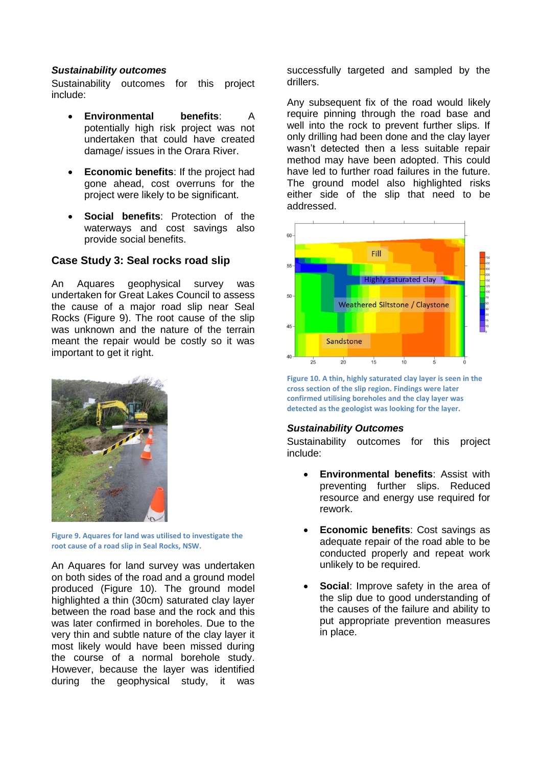#### *Sustainability outcomes*

Sustainability outcomes for this project include:

- **Environmental benefits**: A potentially high risk project was not undertaken that could have created damage/ issues in the Orara River.
- **Economic benefits**: If the project had gone ahead, cost overruns for the project were likely to be significant.
- **Social benefits**: Protection of the waterways and cost savings also provide social benefits.

## **Case Study 3: Seal rocks road slip**

An Aquares geophysical survey was undertaken for Great Lakes Council to assess the cause of a major road slip near Seal Rocks [\(Figure 9\)](#page-7-0). The root cause of the slip was unknown and the nature of the terrain meant the repair would be costly so it was important to get it right.



<span id="page-7-0"></span>**Figure 9. Aquares for land was utilised to investigate the root cause of a road slip in Seal Rocks, NSW.**

An Aquares for land survey was undertaken on both sides of the road and a ground model produced [\(Figure 10\)](#page-7-1). The ground model highlighted a thin (30cm) saturated clay layer between the road base and the rock and this was later confirmed in boreholes. Due to the very thin and subtle nature of the clay layer it most likely would have been missed during the course of a normal borehole study. However, because the layer was identified during the geophysical study, it was

successfully targeted and sampled by the drillers.

Any subsequent fix of the road would likely require pinning through the road base and well into the rock to prevent further slips. If only drilling had been done and the clay layer wasn't detected then a less suitable repair method may have been adopted. This could have led to further road failures in the future. The ground model also highlighted risks either side of the slip that need to be addressed.



<span id="page-7-1"></span>**Figure 10. A thin, highly saturated clay layer is seen in the cross section of the slip region. Findings were later confirmed utilising boreholes and the clay layer was detected as the geologist was looking for the layer.**

#### *Sustainability Outcomes*

Sustainability outcomes for this project include:

- **Environmental benefits**: Assist with preventing further slips. Reduced resource and energy use required for rework.
- **Economic benefits**: Cost savings as adequate repair of the road able to be conducted properly and repeat work unlikely to be required.
- **Social**: Improve safety in the area of the slip due to good understanding of the causes of the failure and ability to put appropriate prevention measures in place.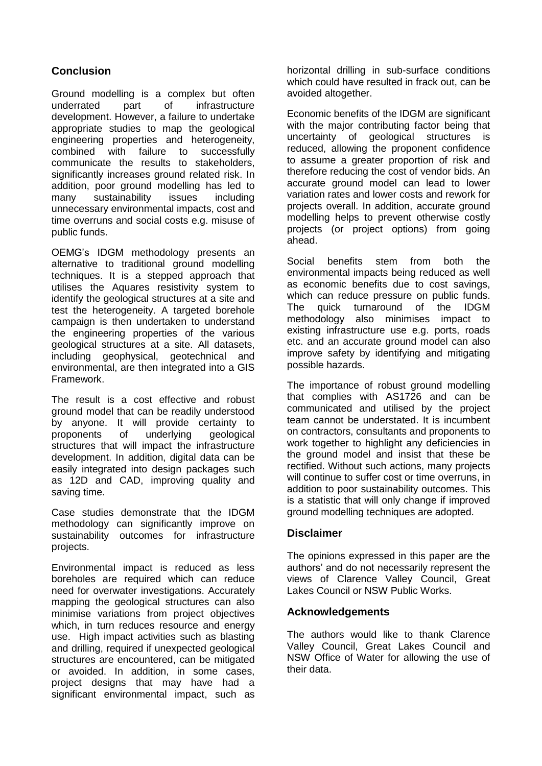# **Conclusion**

Ground modelling is a complex but often underrated part of infrastructure development. However, a failure to undertake appropriate studies to map the geological engineering properties and heterogeneity, combined with failure to successfully communicate the results to stakeholders, significantly increases ground related risk. In addition, poor ground modelling has led to many sustainability issues including unnecessary environmental impacts, cost and time overruns and social costs e.g. misuse of public funds.

OEMG's IDGM methodology presents an alternative to traditional ground modelling techniques. It is a stepped approach that utilises the Aquares resistivity system to identify the geological structures at a site and test the heterogeneity. A targeted borehole campaign is then undertaken to understand the engineering properties of the various geological structures at a site. All datasets, including geophysical, geotechnical and environmental, are then integrated into a GIS Framework.

The result is a cost effective and robust ground model that can be readily understood by anyone. It will provide certainty to proponents of underlying geological structures that will impact the infrastructure development. In addition, digital data can be easily integrated into design packages such as 12D and CAD, improving quality and saving time.

Case studies demonstrate that the IDGM methodology can significantly improve on sustainability outcomes for infrastructure projects.

Environmental impact is reduced as less boreholes are required which can reduce need for overwater investigations. Accurately mapping the geological structures can also minimise variations from project objectives which, in turn reduces resource and energy use. High impact activities such as blasting and drilling, required if unexpected geological structures are encountered, can be mitigated or avoided. In addition, in some cases, project designs that may have had a significant environmental impact, such as

horizontal drilling in sub-surface conditions which could have resulted in frack out, can be avoided altogether.

Economic benefits of the IDGM are significant with the major contributing factor being that uncertainty of geological structures is reduced, allowing the proponent confidence to assume a greater proportion of risk and therefore reducing the cost of vendor bids. An accurate ground model can lead to lower variation rates and lower costs and rework for projects overall. In addition, accurate ground modelling helps to prevent otherwise costly projects (or project options) from going ahead.

Social benefits stem from both the environmental impacts being reduced as well as economic benefits due to cost savings, which can reduce pressure on public funds. The quick turnaround of the IDGM methodology also minimises impact to existing infrastructure use e.g. ports, roads etc. and an accurate ground model can also improve safety by identifying and mitigating possible hazards.

The importance of robust ground modelling that complies with AS1726 and can be communicated and utilised by the project team cannot be understated. It is incumbent on contractors, consultants and proponents to work together to highlight any deficiencies in the ground model and insist that these be rectified. Without such actions, many projects will continue to suffer cost or time overruns, in addition to poor sustainability outcomes. This is a statistic that will only change if improved ground modelling techniques are adopted.

# **Disclaimer**

The opinions expressed in this paper are the authors' and do not necessarily represent the views of Clarence Valley Council, Great Lakes Council or NSW Public Works.

#### **Acknowledgements**

The authors would like to thank Clarence Valley Council, Great Lakes Council and NSW Office of Water for allowing the use of their data.